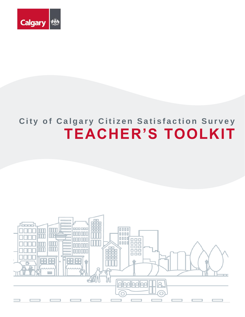

# **City of Calgary Citizen Satisfaction Survey TEACHER'S TOOLKIT**

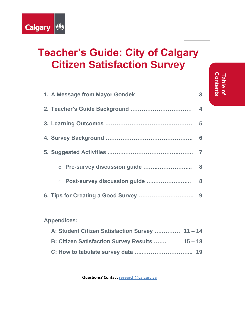

# **Teacher's Guide: City of Calgary Citizen Satisfaction Survey**

**Contents Table of** 

Table of<br>Contents

### **Appendices:**

| A: Student Citizen Satisfaction Survey  11-14  |           |  |
|------------------------------------------------|-----------|--|
| <b>B: Citizen Satisfaction Survey Results </b> | $15 - 18$ |  |
|                                                |           |  |

**Questions? Contact [research@calgary.ca](mailto:research@calgary.ca)**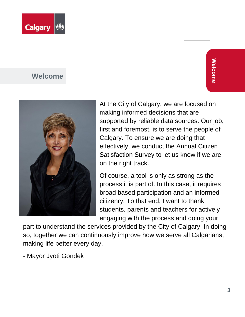

### **Welcome**



At the City of Calgary, we are focused on making informed decisions that are supported by reliable data sources. Our job, first and foremost, is to serve the people of Calgary. To ensure we are doing that effectively, we conduct the Annual Citizen Satisfaction Survey to let us know if we are on the right track.

Of course, a tool is only as strong as the process it is part of. In this case, it requires broad based participation and an informed citizenry. To that end, I want to thank students, parents and teachers for actively engaging with the process and doing your

part to understand the services provided by the City of Calgary. In doing so, together we can continuously improve how we serve all Calgarians, making life better every day.

- Mayor Jyoti Gondek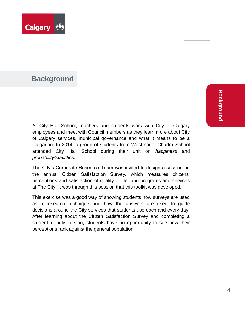

### **Background**

**Background Background**

At City Hall School, teachers and students work with City of Calgary employees and meet with Council members as they learn more about City of Calgary services, municipal governance and what it means to be a Calgarian. In 2014, a group of students from Westmount Charter School attended City Hall School during their unit on *happiness* and *probability/statistics*.

The City's Corporate Research Team was invited to design a session on the annual Citizen Satisfaction Survey, which measures citizens' perceptions and satisfaction of quality of life, and programs and services at The City. It was through this session that this toolkit was developed.

This exercise was a good way of showing students how surveys are used as a research technique and how the answers are used to guide decisions around the City services that students use each and every day. After learning about the Citizen Satisfaction Survey and completing a student-friendly version, students have an opportunity to see how their perceptions rank against the general population.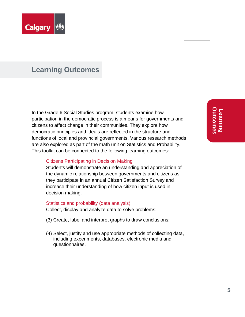

### **Learning Outcomes**

In the Grade 6 Social Studies program, students examine how participation in the democratic process is a means for governments and citizens to affect change in their communities. They explore how democratic principles and ideals are reflected in the structure and functions of local and provincial governments. Various research methods are also explored as part of the math unit on Statistics and Probability. This toolkit can be connected to the following learning outcomes:

#### Citizens Participating in Decision Making

Students will demonstrate an understanding and appreciation of the dynamic relationship between governments and citizens as they participate in an annual Citizen Satisfaction Survey and increase their understanding of how citizen input is used in decision making.

#### Statistics and probability (data analysis)

Collect, display and analyze data to solve problems:

- (3) Create, label and interpret graphs to draw conclusions;
- (4) Select, justify and use appropriate methods of collecting data, including experiments, databases, electronic media and questionnaires.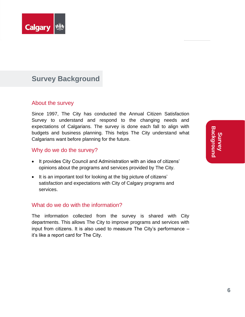

### **Survey Background**

#### About the survey

Since 1997, The City has conducted the Annual Citizen Satisfaction Survey to understand and respond to the changing needs and expectations of Calgarians. The survey is done each fall to align with budgets and business planning. This helps The City understand what Calgarians want before planning for the future.

#### Why do we do the survey?

- It provides City Council and Administration with an idea of citizens' opinions about the programs and services provided by The City.
- It is an important tool for looking at the big picture of citizens' satisfaction and expectations with City of Calgary programs and services.

#### What do we do with the information?

The information collected from the survey is shared with City departments. This allows The City to improve programs and services with input from citizens. It is also used to measure The City's performance – it's like a report card for The City.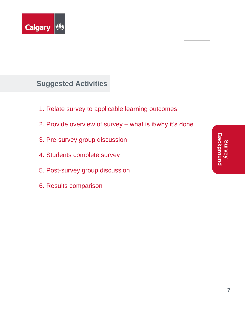

# **Suggested Activities**

- 1. Relate survey to applicable learning outcomes
- 2. Provide overview of survey what is it/why it's done
- 3. Pre-survey group discussion
- 4. Students complete survey
- 5. Post-survey group discussion
- 6. Results comparison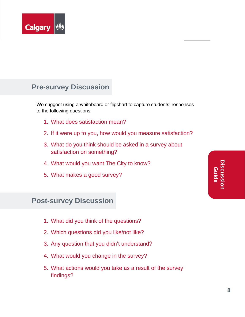

# **Pre-survey Discussion**

We suggest using a whiteboard or flipchart to capture students' responses to the following questions:

- 1. What does satisfaction mean?
- 2. If it were up to you, how would you measure satisfaction?
- 3. What do you think should be asked in a survey about satisfaction on something?
- 4. What would you want The City to know?
- 5. What makes a good survey?

### **Post-survey Discussion**

- 1. What did you think of the questions?
- 2. Which questions did you like/not like?
- 3. Any question that you didn't understand?
- 4. What would you change in the survey?
- 5. What actions would you take as a result of the survey findings?

**Discussion Guide**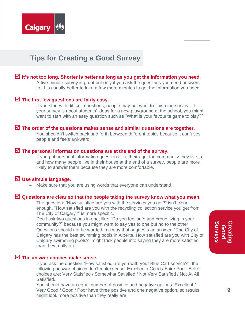

## **Tips for Creating a Good Survey**

#### **It's not too long. Shorter is better as long as you get the information you need.**

− A five-minute survey is great but only if you ask the questions you need answers to. It's usually better to take a few more minutes to get the information you need.

#### **The first few questions are fairly easy.**

− If you start with difficult questions, people may not want to finish the survey. If your survey is about students' ideas for a new playground at the school, you might want to start with an easy question such as "What is your favourite game to play?"

#### **The order of the questions makes sense and similar questions are together.**

− You shouldn't switch back and forth between different topics because it confuses people and feels awkward.

#### **The personal information questions are at the end of the survey.**

If you put personal information questions like their age, the community they live in, and how many people live in their house at the end of a survey, people are more likely to answer them because they are more comfortable.

#### **Use simple language.**

Make sure that you are using words that everyone can understand.

#### **Questions are clear so that the people taking the survey know what you mean.**

- − The question: "How satisfied are you with the services you get?" isn't clear enough. "How satisfied are you with the recycling collection service you get from The City of Calgary?" is more specific.
- − Don't ask two questions in one, like: "Do you feel safe and proud living in your community?" because you might want to say yes to one but no to the other.
- − Questions should not be worded in a way that suggests an answer. "The City of Calgary has the best swimming pools in Alberta. How satisfied are you with City of Calgary swimming pools?" might trick people into saying they are more satisfied than they really are.

#### **The answer choices make sense.**

- − If you ask the question "How satisfied are you with your Blue Cart service?", the following answer choices don't make sense: Excellent / Good / Fair / Poor. Better choices are: Very Satisfied / Somewhat Satisfied / Not Very Satisfied / Not At All Satisfied.
- − You should have an equal number of positive and negative options: Excellent / Very Good / Good / Poor have three positive and one negative option, so results might look more positive than they really are.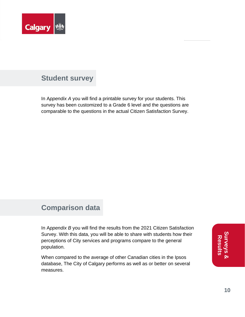

### **Student survey**

In A*ppendix A* you will find a printable survey for your students. This survey has been customized to a Grade 6 level and the questions are comparable to the questions in the actual Citizen Satisfaction Survey.

### **Comparison data**

In A*ppendix B* you will find the results from the 2021 Citizen Satisfaction Survey. With this data, you will be able to share with students how their perceptions of City services and programs compare to the general population.

When compared to the average of other Canadian cities in the Ipsos database, The City of Calgary performs as well as or better on several measures.

**Surveys &**  urveys<br>& **Results**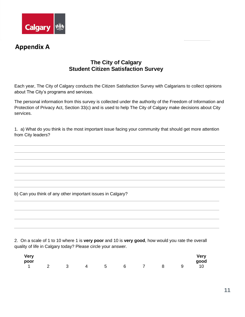

### **Appendix A**

### **The City of Calgary Student Citizen Satisfaction Survey**

Each year, The City of Calgary conducts the Citizen Satisfaction Survey with Calgarians to collect opinions about The City's programs and services.

The personal information from this survey is collected under the authority of the Freedom of Information and Protection of Privacy Act, Section 33(c) and is used to help The City of Calgary make decisions about City services.

1. a) What do you think is the most important issue facing your community that should get more attention from City leaders?

b) Can you think of any other important issues in Calgary?

2. On a scale of 1 to 10 where 1 is **very poor** and 10 is **very good**, how would you rate the overall quality of life in Calgary today? Please circle your answer.

| <b>Very</b> |                         |                |                 |                 |                |             | <b>Very</b>     |
|-------------|-------------------------|----------------|-----------------|-----------------|----------------|-------------|-----------------|
| poor        |                         |                |                 |                 |                |             | good            |
| $1 \t 2$    | $\overline{\mathbf{3}}$ | $\overline{4}$ | $5\overline{)}$ | $6\overline{6}$ | $\overline{7}$ | $8\qquad 9$ | $\overline{10}$ |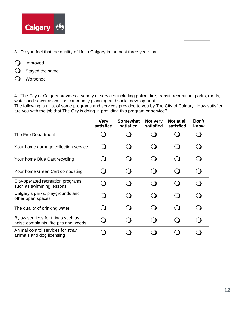

- 3. Do you feel that the quality of life in Calgary in the past three years has…
- **O** Improved
- $\bigcirc$  Stayed the same
- **Q** Worsened

4. The City of Calgary provides a variety of services including police, fire, transit, recreation, parks, roads, water and sewer as well as community planning and social development.

The following is a list of some programs and services provided to you by The City of Calgary. How satisfied are you with the job that The City is doing in providing this program or service?

|                                                                            | <b>Very</b><br>satisfied | <b>Somewhat</b><br>satisfied | Not very<br>satisfied | Not at all<br>satisfied | Don't<br>know |
|----------------------------------------------------------------------------|--------------------------|------------------------------|-----------------------|-------------------------|---------------|
| The Fire Department                                                        |                          |                              |                       |                         |               |
| Your home garbage collection service                                       |                          |                              |                       |                         |               |
| Your home Blue Cart recycling                                              |                          |                              |                       |                         |               |
| Your home Green Cart composting                                            |                          |                              |                       |                         |               |
| City-operated recreation programs<br>such as swimming lessons              |                          |                              |                       |                         |               |
| Calgary's parks, playgrounds and<br>other open spaces                      |                          |                              |                       |                         |               |
| The quality of drinking water                                              |                          |                              |                       |                         |               |
| Bylaw services for things such as<br>noise complaints, fire pits and weeds |                          |                              |                       |                         |               |
| Animal control services for stray<br>animals and dog licensing             |                          |                              |                       |                         |               |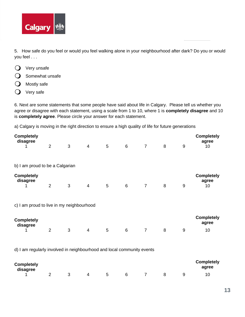

5. How safe do you feel or would you feel walking alone in your neighbourhood after dark? Do you or would you feel . . .

- $\bigcirc$  Very unsafe
- $\Omega$  Somewhat unsafe
- $\bigcirc$  Mostly safe
- $\bigcirc$  Very safe

6. Next are some statements that some people have said about life in Calgary. Please tell us whether you agree or disagree with each statement, using a scale from 1 to 10, where 1 is **completely disagree** and 10 is **completely agree**. Please circle your answer for each statement.

a) Calgary is moving in the right direction to ensure a high quality of life for future generations

| <b>Completely</b><br>disagree<br>1                                     | 2              | 3 | $\overline{4}$ | 5 <sup>5</sup> | 6               | $\overline{7}$ | 8 | $9\,$ | <b>Completely</b><br>agree<br>10 |
|------------------------------------------------------------------------|----------------|---|----------------|----------------|-----------------|----------------|---|-------|----------------------------------|
| b) I am proud to be a Calgarian                                        |                |   |                |                |                 |                |   |       |                                  |
| <b>Completely</b><br>disagree                                          | $\overline{2}$ | 3 | $\overline{4}$ | 5              | 6               | $\overline{7}$ | 8 | $9\,$ | <b>Completely</b><br>agree<br>10 |
| c) I am proud to live in my neighbourhood                              |                |   |                |                |                 |                |   |       |                                  |
| <b>Completely</b><br>disagree                                          |                |   |                |                |                 |                |   |       | <b>Completely</b><br>agree       |
|                                                                        | 2              | 3 | $\overline{4}$ | 5              | $6\phantom{1}6$ | $\overline{7}$ | 8 | 9     | 10                               |
| d) I am regularly involved in neighbourhood and local community events |                |   |                |                |                 |                |   |       |                                  |

| <b>Completely</b><br>disagree |  |   |   |   |  | <b>Completely</b><br>agree |
|-------------------------------|--|---|---|---|--|----------------------------|
|                               |  | 4 | 5 | 6 |  |                            |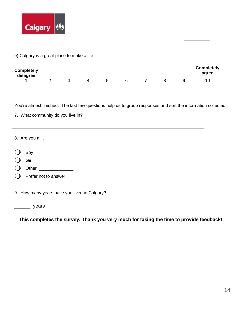

e) Calgary is a great place to make a life

| <b>Completely</b><br>disagree |  |   |   |  | <b>Completely</b><br>agree |
|-------------------------------|--|---|---|--|----------------------------|
|                               |  | ა | 6 |  | 10                         |

You're almost finished. The last few questions help us to group responses and sort the information collected.

7. What community do you live in?

8.Are you a . . .

- O Boy
- **O** Girl
- Other \_\_\_\_\_\_\_\_\_\_\_\_\_\_
- $\bigcirc$  Prefer not to answer

9. How many years have you lived in Calgary?

\_\_\_\_\_\_\_\_\_ years

**This completes the survey. Thank you very much for taking the time to provide feedback!**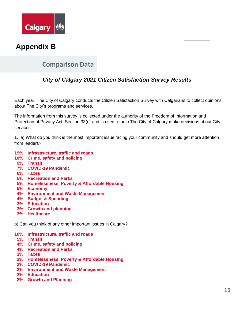

### **Appendix B**

### **Comparison Data**

### *City of Calgary 2021 Citizen Satisfaction Survey Results*

Each year, The City of Calgary conducts the Citizen Satisfaction Survey with Calgarians to collect opinions about The City's programs and services.

The information from this survey is collected under the authority of the Freedom of Information and Protection of Privacy Act, Section 33(c) and is used to help The City of Calgary make decisions about City services.

1. a) What do you think is the most important issue facing your community and should get more attention from leaders?

- **19% Infrastructure, traffic and roads**
- **10% Crime, safety and policing**
- **9% Transit**
- **7% COVID-19 Pandemic**
- **6% Taxes**
- **5% Recreation and Parks**
- **5% Homelessness, Poverty & Affordable Housing**
- **5% Economy**
- **4% Environment and Waste Management**
- **4% Budget & Spending**
- **3% Education**
- **3% Growth and planning**
- **3% Healthcare**

b) Can you think of any other important issues in Calgary?

**10% Infrastructure, traffic and roads**

- **5% Transit**
- **4% Crime, safety and policing**
- **4% Recreation and Parks**
- **3% Taxes**
- **3% Homelessness, Poverty & Affordable Housing**
- **2% COVID-19 Pandemic**
- **2% Environment and Waste Management**
- **2% Education**
- **2% Growth and Planning**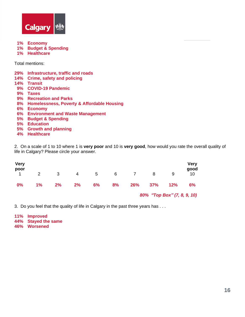

**1% Economy 1% Budget & Spending**

**1% Healthcare**

Total mentions:

|           | 29% Infrastructure, traffic and roads         |
|-----------|-----------------------------------------------|
|           | 14% Crime, safety and policing                |
|           | 14% Transit                                   |
| 9%        | <b>COVID-19 Pandemic</b>                      |
| 9%        | <b>Taxes</b>                                  |
|           | 9% Recreation and Parks                       |
|           | 8% Homelessness, Poverty & Affordable Housing |
| 6%        | <b>Economy</b>                                |
| <b>6%</b> | <b>Environment and Waste Management</b>       |
| <b>5%</b> | <b>Budget &amp; Spending</b>                  |
|           | 5% Education                                  |
|           | 5% Growth and planning                        |
| AO/       | <b>Hoaltheare</b>                             |

**4% Healthcare**

2. On a scale of 1 to 10 where 1 is **very poor** and 10 is **very good**, how would you rate the overall quality of life in Calgary? Please circle your answer.

| <b>Very</b><br>poor |                |    |    |    |    |              |                             |     | Very<br>good |
|---------------------|----------------|----|----|----|----|--------------|-----------------------------|-----|--------------|
|                     | $\overline{2}$ | 3  | 4  | 5  | 6  | $\mathbf{7}$ | 8                           | 9   | 10           |
| 0%                  | 1%             | 2% | 2% | 6% | 8% | 26%          | 37%                         | 12% | 6%           |
|                     |                |    |    |    |    |              | 80% "Top Box" (7, 8, 9, 10) |     |              |

3. Do you feel that the quality of life in Calgary in the past three years has . . .

**11% Improved 44% Stayed the same 46% Worsened**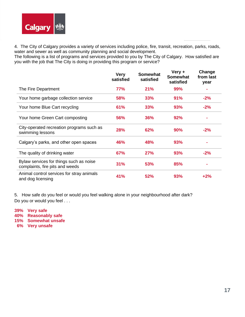

4. The City of Calgary provides a variety of services including police, fire, transit, recreation, parks, roads, water and sewer as well as community planning and social development.

The following is a list of programs and services provided to you by The City of Calgary. How satisfied are you with the job that The City is doing in providing this program or service?

|                                                                            | <b>Very</b><br>satisfied | <b>Somewhat</b><br>satisfied | Very +<br><b>Somewhat</b><br>satisfied | Change<br>from last<br>year |
|----------------------------------------------------------------------------|--------------------------|------------------------------|----------------------------------------|-----------------------------|
| The Fire Department                                                        | 77%                      | 21%                          | 99%                                    |                             |
| Your home garbage collection service                                       | 58%                      | 33%                          | 91%                                    | $-2%$                       |
| Your home Blue Cart recycling                                              | 61%                      | 33%                          | 93%                                    | $-2%$                       |
| Your home Green Cart composting                                            | 56%                      | 36%                          | 92%                                    |                             |
| City-operated recreation programs such as<br>swimming lessons              | <b>28%</b>               | 62%                          | 90%                                    | $-2%$                       |
| Calgary's parks, and other open spaces                                     | 46%                      | 48%                          | 93%                                    |                             |
| The quality of drinking water                                              | 67%                      | <b>27%</b>                   | 93%                                    | $-2%$                       |
| Bylaw services for things such as noise<br>complaints, fire pits and weeds | 31%                      | 53%                          | 85%                                    |                             |
| Animal control services for stray animals<br>and dog licensing             | 41%                      | 52%                          | 93%                                    | $+2%$                       |

5. How safe do you feel or would you feel walking alone in your neighbourhood after dark? Do you or would you feel . . .

**39% Very safe 40% Reasonably safe 15% Somewhat unsafe 6% Very unsafe**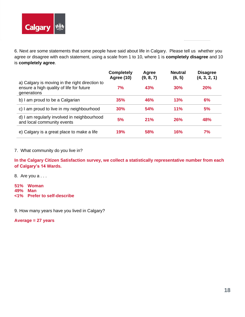

6. Next are some statements that some people have said about life in Calgary. Please tell us whether you agree or disagree with each statement, using a scale from 1 to 10, where 1 is **completely disagree** and 10 is **completely agree**.

|                                                                                                           | <b>Completely</b><br><b>Agree (10)</b> | Agree<br>(9, 8, 7) | <b>Neutral</b><br>(6, 5) | <b>Disagree</b><br>(4, 3, 2, 1) |
|-----------------------------------------------------------------------------------------------------------|----------------------------------------|--------------------|--------------------------|---------------------------------|
| a) Calgary is moving in the right direction to<br>ensure a high quality of life for future<br>generations | 7%                                     | 43%                | 30%                      | <b>20%</b>                      |
| b) I am proud to be a Calgarian                                                                           | 35%                                    | 46%                | 13%                      | 6%                              |
| c) I am proud to live in my neighbourhood                                                                 | 30%                                    | <b>54%</b>         | 11%                      | 5%                              |
| d) I am regularly involved in neighbourhood<br>and local community events                                 | 5%                                     | 21%                | <b>26%</b>               | 48%                             |
| e) Calgary is a great place to make a life                                                                | <b>19%</b>                             | 58%                | 16%                      | 7%                              |

7. What community do you live in?

**In the Calgary Citizen Satisfaction survey, we collect a statistically representative number from each of Calgary's 14 Wards.**

8.Are you a . . .

**51% Woman 49% Man <1% Prefer to self-describe**

9. How many years have you lived in Calgary?

**Average = 27 years**